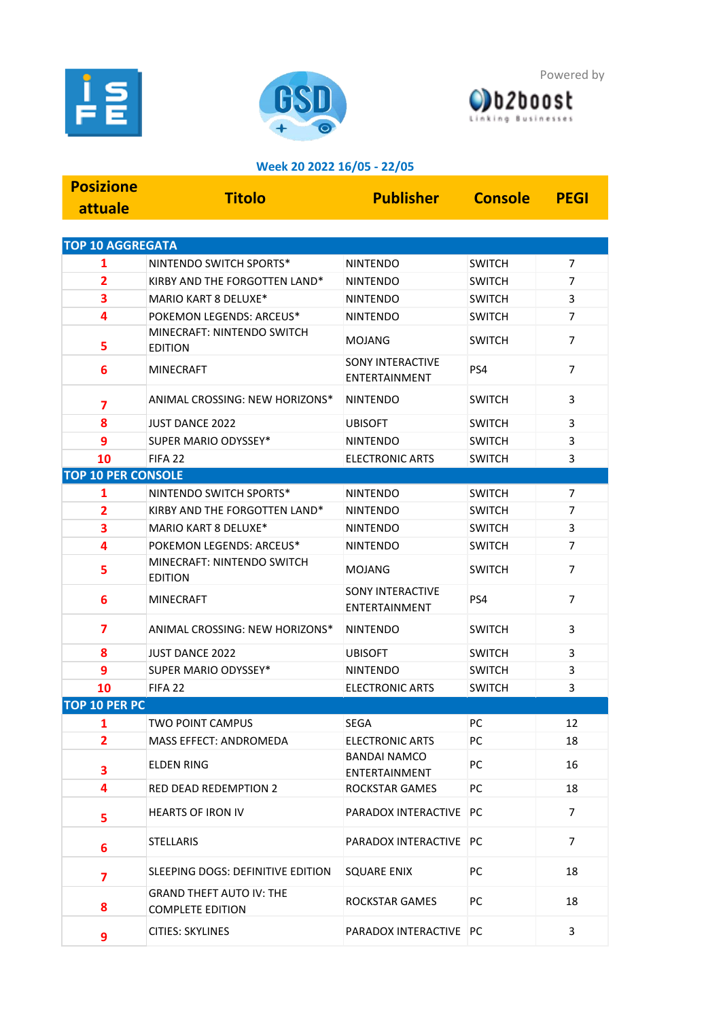





## **Week 20 2022 16/05 - 22/05**

| <b>Posizione</b>          | <b>Titolo</b>                                              | <b>Publisher</b>                                | <b>Console</b> | <b>PEGI</b>    |  |  |  |  |
|---------------------------|------------------------------------------------------------|-------------------------------------------------|----------------|----------------|--|--|--|--|
| attuale                   |                                                            |                                                 |                |                |  |  |  |  |
|                           |                                                            |                                                 |                |                |  |  |  |  |
| <b>TOP 10 AGGREGATA</b>   |                                                            |                                                 |                |                |  |  |  |  |
| 1                         | NINTENDO SWITCH SPORTS*                                    | <b>NINTENDO</b>                                 | <b>SWITCH</b>  | 7              |  |  |  |  |
| $\overline{2}$            | KIRBY AND THE FORGOTTEN LAND*                              | <b>NINTENDO</b>                                 | <b>SWITCH</b>  | $\overline{7}$ |  |  |  |  |
| 3                         | MARIO KART 8 DELUXE*                                       | <b>NINTENDO</b>                                 | <b>SWITCH</b>  | 3              |  |  |  |  |
| 4                         | POKEMON LEGENDS: ARCEUS*                                   | <b>NINTENDO</b>                                 | <b>SWITCH</b>  | $\overline{7}$ |  |  |  |  |
| 5                         | MINECRAFT: NINTENDO SWITCH<br><b>EDITION</b>               | <b>MOJANG</b>                                   | <b>SWITCH</b>  | $\overline{7}$ |  |  |  |  |
| 6                         | <b>MINECRAFT</b>                                           | <b>SONY INTERACTIVE</b><br>ENTERTAINMENT        | PS4            | $\overline{7}$ |  |  |  |  |
| 7                         | ANIMAL CROSSING: NEW HORIZONS*                             | <b>NINTENDO</b>                                 | <b>SWITCH</b>  | 3              |  |  |  |  |
| 8                         | <b>JUST DANCE 2022</b>                                     | <b>UBISOFT</b>                                  | <b>SWITCH</b>  | 3              |  |  |  |  |
| 9                         | SUPER MARIO ODYSSEY*                                       | <b>NINTENDO</b>                                 | <b>SWITCH</b>  | 3              |  |  |  |  |
| 10                        | FIFA <sub>22</sub>                                         | <b>ELECTRONIC ARTS</b>                          | <b>SWITCH</b>  | 3              |  |  |  |  |
| <b>TOP 10 PER CONSOLE</b> |                                                            |                                                 |                |                |  |  |  |  |
| 1                         | NINTENDO SWITCH SPORTS*                                    | <b>NINTENDO</b>                                 | <b>SWITCH</b>  | 7              |  |  |  |  |
| $\overline{\mathbf{2}}$   | KIRBY AND THE FORGOTTEN LAND*                              | <b>NINTENDO</b>                                 | <b>SWITCH</b>  | $\overline{7}$ |  |  |  |  |
| 3                         | MARIO KART 8 DELUXE*                                       | <b>NINTENDO</b>                                 | <b>SWITCH</b>  | 3              |  |  |  |  |
| 4                         | POKEMON LEGENDS: ARCEUS*                                   | <b>NINTENDO</b>                                 | <b>SWITCH</b>  | $\overline{7}$ |  |  |  |  |
| 5                         | MINECRAFT: NINTENDO SWITCH<br><b>EDITION</b>               | <b>MOJANG</b>                                   | <b>SWITCH</b>  | $\overline{7}$ |  |  |  |  |
| 6                         | <b>MINECRAFT</b>                                           | <b>SONY INTERACTIVE</b><br><b>ENTERTAINMENT</b> | PS4            | $\overline{7}$ |  |  |  |  |
| 7                         | ANIMAL CROSSING: NEW HORIZONS*                             | <b>NINTENDO</b>                                 | <b>SWITCH</b>  | 3              |  |  |  |  |
| 8                         | <b>JUST DANCE 2022</b>                                     | <b>UBISOFT</b>                                  | <b>SWITCH</b>  | 3              |  |  |  |  |
| 9                         | SUPER MARIO ODYSSEY*                                       | <b>NINTENDO</b>                                 | <b>SWITCH</b>  | 3              |  |  |  |  |
| 10                        | FIFA <sub>22</sub>                                         | <b>ELECTRONIC ARTS</b>                          | <b>SWITCH</b>  | 3              |  |  |  |  |
| <b>TOP 10 PER PC</b>      |                                                            |                                                 |                |                |  |  |  |  |
| 1                         | TWO POINT CAMPUS                                           | <b>SEGA</b>                                     | PC             | 12             |  |  |  |  |
| 2                         | MASS EFFECT: ANDROMEDA                                     | <b>ELECTRONIC ARTS</b>                          | PC             | 18             |  |  |  |  |
| 3                         | <b>ELDEN RING</b>                                          | <b>BANDAI NAMCO</b><br>ENTERTAINMENT            | PC             | 16             |  |  |  |  |
| 4                         | <b>RED DEAD REDEMPTION 2</b>                               | <b>ROCKSTAR GAMES</b>                           | PC             | 18             |  |  |  |  |
| 5                         | <b>HEARTS OF IRON IV</b>                                   | PARADOX INTERACTIVE PC                          |                | $\overline{7}$ |  |  |  |  |
| 6                         | <b>STELLARIS</b>                                           | PARADOX INTERACTIVE PC                          |                | $\overline{7}$ |  |  |  |  |
| $\overline{\mathbf{z}}$   | SLEEPING DOGS: DEFINITIVE EDITION                          | <b>SQUARE ENIX</b>                              | PC             | 18             |  |  |  |  |
| 8                         | <b>GRAND THEFT AUTO IV: THE</b><br><b>COMPLETE EDITION</b> | ROCKSTAR GAMES                                  | РC             | 18             |  |  |  |  |
| 9                         | <b>CITIES: SKYLINES</b>                                    | PARADOX INTERACTIVE PC                          |                | 3              |  |  |  |  |